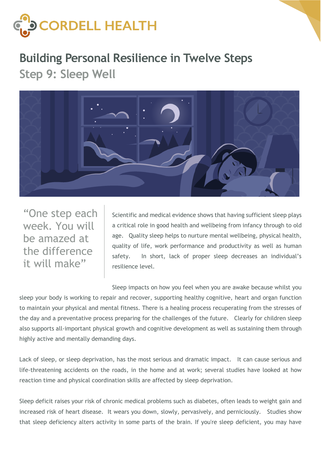

## **Building Personal Resilience in Twelve Steps Step 9: Sleep Well**



"One step each week. You will be amazed at the difference it will make"

Scientific and medical evidence shows that having sufficient sleep plays a critical role in good health and wellbeing from infancy through to old age. Quality sleep helps to nurture mental wellbeing, physical health, quality of life, work performance and productivity as well as human safety. In short, lack of proper sleep decreases an individual's resilience level.

Sleep impacts on how you feel when you are awake because whilst you sleep your body is working to repair and recover, supporting healthy cognitive, heart and organ function to maintain your physical and mental fitness. There is a healing process recuperating from the stresses of the day and a preventative process preparing for the challenges of the future. Clearly for children sleep also supports all-important physical growth and cognitive development as well as sustaining them through highly active and mentally demanding days.

Lack of sleep, or sleep deprivation, has the most serious and dramatic impact. It can cause serious and life-threatening accidents on the roads, in the home and at work; several studies have looked at how reaction time and physical coordination skills are affected by sleep deprivation.

Sleep deficit raises your risk of chronic medical problems such as diabetes, often leads to weight gain and increased risk of heart disease. It wears you down, slowly, pervasively, and perniciously. Studies show that sleep deficiency alters activity in some parts of the brain. If you're sleep deficient, you may have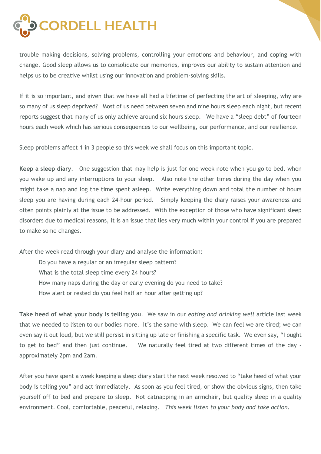

trouble making decisions, solving problems, controlling your emotions and behaviour, and coping with change. Good sleep allows us to consolidate our memories, improves our ability to sustain attention and helps us to be creative whilst using our innovation and problem-solving skills.

If it is so important, and given that we have all had a lifetime of perfecting the art of sleeping, why are so many of us sleep deprived? Most of us need between seven and nine hours sleep each night, but recent reports suggest that many of us only achieve around six hours sleep. We have a "sleep debt" of fourteen hours each week which has serious consequences to our wellbeing, our performance, and our resilience.

Sleep problems affect 1 in 3 people so this week we shall focus on this important topic.

**Keep a sleep diary**. One suggestion that may help is just for one week note when you go to bed, when you wake up and any interruptions to your sleep. Also note the other times during the day when you might take a nap and log the time spent asleep. Write everything down and total the number of hours sleep you are having during each 24-hour period. Simply keeping the diary raises your awareness and often points plainly at the issue to be addressed. With the exception of those who have significant sleep disorders due to medical reasons, it is an issue that lies very much within your control if you are prepared to make some changes.

After the week read through your diary and analyse the information:

Do you have a regular or an irregular sleep pattern? What is the total sleep time every 24 hours? How many naps during the day or early evening do you need to take? How alert or rested do you feel half an hour after getting up?

**Take heed of what your body is telling you**. We saw in our *eating and drinking well* article last week that we needed to listen to our bodies more. It's the same with sleep. We can feel we are tired; we can even say it out loud, but we still persist in sitting up late or finishing a specific task. We even say, "I ought to get to bed" and then just continue. We naturally feel tired at two different times of the day – approximately 2pm and 2am.

After you have spent a week keeping a sleep diary start the next week resolved to "take heed of what your body is telling you" and act immediately. As soon as you feel tired, or show the obvious signs, then take yourself off to bed and prepare to sleep. Not catnapping in an armchair, but quality sleep in a quality environment. Cool, comfortable, peaceful, relaxing. *This week listen to your body and take action.*